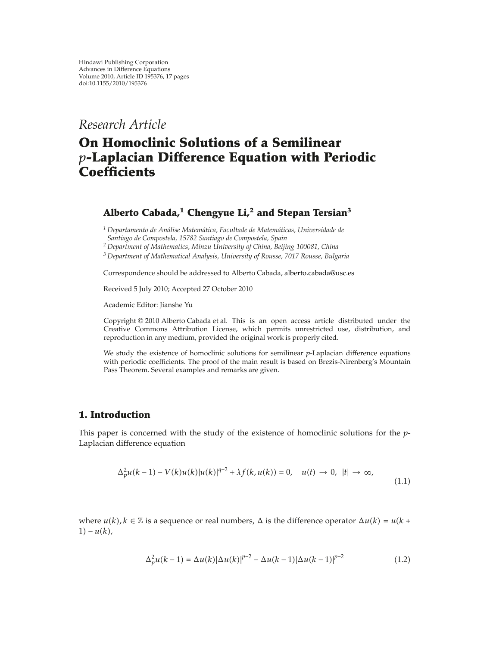*Research Article*

# **On Homoclinic Solutions of a Semilinear** *p***-Laplacian Difference Equation with Periodic Coefficients**

## **Alberto Cabada,1 Chengyue Li,2 and Stepan Tersian<sup>3</sup>**

*<sup>1</sup> Departamento de Analise Matem ´ atica, Facultade de Matem ´ aticas, Universidade de ´ Santiago de Compostela, 15782 Santiago de Compostela, Spain*

*<sup>2</sup> Department of Mathematics, Minzu University of China, Beijing 100081, China*

*<sup>3</sup> Department of Mathematical Analysis, University of Rousse, 7017 Rousse, Bulgaria*

Correspondence should be addressed to Alberto Cabada, alberto.cabada@usc.es

Received 5 July 2010; Accepted 27 October 2010

Academic Editor: Jianshe Yu

Copyright © 2010 Alberto Cabada et al. This is an open access article distributed under the Creative Commons Attribution License, which permits unrestricted use, distribution, and reproduction in any medium, provided the original work is properly cited.

We study the existence of homoclinic solutions for semilinear *p*-Laplacian difference equations with periodic coefficients. The proof of the main result is based on Brezis-Nirenberg's Mountain Pass Theorem. Several examples and remarks are given.

## **1. Introduction**

This paper is concerned with the study of the existence of homoclinic solutions for the *p*-Laplacian difference equation

$$
\Delta_p^2 u(k-1) - V(k)u(k)|u(k)|^{q-2} + \lambda f(k, u(k)) = 0, \quad u(t) \to 0, \ |t| \to \infty,
$$
\n(1.1)

where  $u(k)$ ,  $k \in \mathbb{Z}$  is a sequence or real numbers,  $\Delta$  is the difference operator  $\Delta u(k) = u(k + 1)$  $1) - u(k),$ 

$$
\Delta_p^2 u(k-1) = \Delta u(k) |\Delta u(k)|^{p-2} - \Delta u(k-1) |\Delta u(k-1)|^{p-2}
$$
\n(1.2)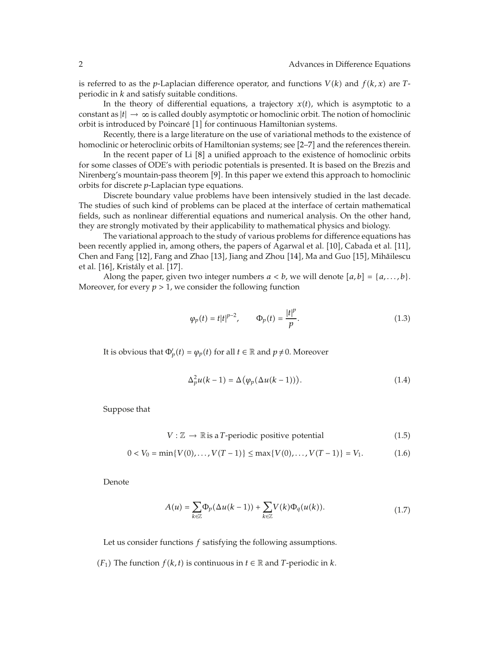is referred to as the *p*-Laplacian difference operator, and functions  $V(k)$  and  $f(k, x)$  are *T*periodic in *k* and satisfy suitable conditions.

In the theory of differential equations, a trajectory  $x(t)$ , which is asymptotic to a constant as  $|t|\to\infty$  is called doubly asymptotic or homoclinic orbit. The notion of homoclinic orbit is introduced by Poincaré [1] for continuous Hamiltonian systems.

Recently, there is a large literature on the use of variational methods to the existence of homoclinic or heteroclinic orbits of Hamiltonian systems; see [2–7] and the references therein.

In the recent paper of Li [8] a unified approach to the existence of homoclinic orbits for some classes of ODE's with periodic potentials is presented. It is based on the Brezis and Nirenberg's mountain-pass theorem [9]. In this paper we extend this approach to homoclinic orbits for discrete *p*-Laplacian type equations.

Discrete boundary value problems have been intensively studied in the last decade. The studies of such kind of problems can be placed at the interface of certain mathematical fields, such as nonlinear differential equations and numerical analysis. On the other hand, they are strongly motivated by their applicability to mathematical physics and biology.

The variational approach to the study of various problems for difference equations has been recently applied in, among others, the papers of Agarwal et al. [10], Cabada et al. [11], Chen and Fang [12], Fang and Zhao [13], Jiang and Zhou [14], Ma and Guo [15], Mihăilescu et al. [16], Kristály et al. [17].

Along the paper, given two integer numbers  $a < b$ , we will denote  $[a, b] = \{a, \ldots, b\}$ . Moreover, for every  $p > 1$ , we consider the following function

$$
\varphi_p(t) = t|t|^{p-2}, \qquad \Phi_p(t) = \frac{|t|^p}{p}.
$$
\n(1.3)

It is obvious that  $\Phi_p'(t) = \varphi_p(t)$  for all  $t \in \mathbb{R}$  and  $p \neq 0$ . Moreover

$$
\Delta_p^2 u(k-1) = \Delta(\varphi_p(\Delta u(k-1))). \tag{1.4}
$$

Suppose that

$$
V: \mathbb{Z} \to \mathbb{R}
$$
 is a *T*-periodic positive potential  $(1.5)$ 

$$
0 < V_0 = \min\{V(0), \dots, V(T-1)\} \le \max\{V(0), \dots, V(T-1)\} = V_1. \tag{1.6}
$$

Denote

$$
A(u) = \sum_{k \in \mathbb{Z}} \Phi_p(\Delta u(k-1)) + \sum_{k \in \mathbb{Z}} V(k) \Phi_q(u(k)).
$$
\n(1.7)

Let us consider functions *f* satisfying the following assumptions.

*(F*<sub>1</sub>) The function *f* (*k*, *t*) is continuous in *t*  $\in \mathbb{R}$  and *T*-periodic in *k*.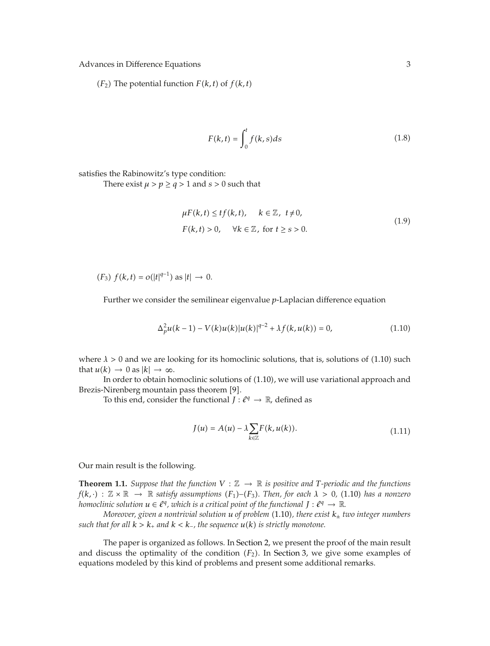$(F_2)$  The potential function  $F(k, t)$  of  $f(k, t)$ 

$$
F(k,t) = \int_0^t f(k,s)ds
$$
\n(1.8)

satisfies the Rabinowitz's type condition:

There exist  $\mu > p \geq q > 1$  and  $s > 0$  such that

$$
\mu F(k, t) \le tf(k, t), \quad k \in \mathbb{Z}, \ t \ne 0,
$$
  

$$
F(k, t) > 0, \quad \forall k \in \mathbb{Z}, \text{ for } t \ge s > 0.
$$
 (1.9)

 $(F_3) f(k, t) = o(|t|^{q-1})$  as  $|t|$  → 0.

Further we consider the semilinear eigenvalue *p*-Laplacian difference equation

$$
\Delta_p^2 u(k-1) - V(k)u(k)|u(k)|^{q-2} + \lambda f(k, u(k)) = 0,
$$
\n(1.10)

where  $\lambda > 0$  and we are looking for its homoclinic solutions, that is, solutions of  $(1.10)$  such that  $u(k) \rightarrow 0$  as  $|k| \rightarrow \infty$ .

In order to obtain homoclinic solutions of 1.10, we will use variational approach and Brezis-Nirenberg mountain pass theorem [9].

To this end, consider the functional  $J: \ell^q \to \mathbb{R}$ , defined as

$$
J(u) = A(u) - \lambda \sum_{k \in \mathbb{Z}} F(k, u(k)).
$$
\n(1.11)

Our main result is the following.

**Theorem 1.1.** *Suppose that the function*  $V : \mathbb{Z} \to \mathbb{R}$  *is positive and T-periodic and the functions*  $f(k, \cdot)$  :  $\mathbb{Z} \times \mathbb{R} \to \mathbb{R}$  satisfy assumptions  $(F_1)$ – $(F_3)$ . Then, for each  $\lambda > 0$ , (1.10) has a nonzero *homoclinic solution*  $u \in \ell^q$ *, which is a critical point of the functional*  $J: \ell^q \to \mathbb{R}$ *.* 

*Moreover, given a nontrivial solution u of problem* 1.10*, there exist k*<sup>±</sup> *two integer numbers such that for all*  $k > k_+$  *and*  $k < k_-$ *, the sequence*  $u(k)$  *is strictly monotone.* 

The paper is organized as follows. In Section 2, we present the proof of the main result and discuss the optimality of the condition  $(F_2)$ . In Section 3, we give some examples of equations modeled by this kind of problems and present some additional remarks.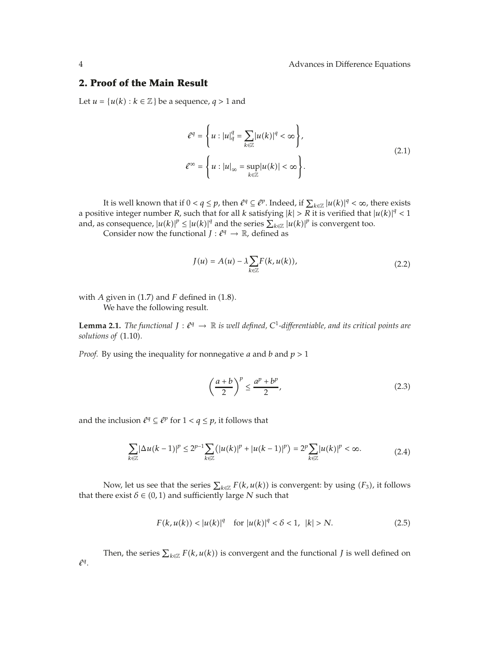## **2. Proof of the Main Result**

Let  $u = {u(k) : k \in \mathbb{Z}}$  be a sequence,  $q > 1$  and

$$
\ell^{q} = \left\{ u : |u|_{q}^{q} = \sum_{k \in \mathbb{Z}} |u(k)|^{q} < \infty \right\},\
$$
  

$$
\ell^{\infty} = \left\{ u : |u|_{\infty} = \sup_{k \in \mathbb{Z}} |u(k)| < \infty \right\}.
$$
  
(2.1)

It is well known that if  $0 < q \leq p$ , then  $l^q \subseteq l^p$ . Indeed, if  $\sum_{k \in \mathbb{Z}} |u(k)|^q < \infty$ , there exists a positive integer number *R*, such that for all *k* satisfying  $|k| > R$  it is verified that  $|u(k)|^q < 1$ and, as consequence,  $|u(k)|^p \leq |u(k)|^q$  and the series  $\sum_{k \in \mathbb{Z}} |u(k)|^p$  is convergent too.

Consider now the functional  $J: \ell^q \to \mathbb{R}$ , defined as

$$
J(u) = A(u) - \lambda \sum_{k \in \mathbb{Z}} F(k, u(k)), \qquad (2.2)
$$

with  $A$  given in  $(1.7)$  and  $F$  defined in  $(1.8)$ . We have the following result.

**Lemma 2.1.** *The functional*  $J: \ell^q \to \mathbb{R}$  *is well defined,*  $C^1$ -differentiable, and its critical points are *solutions of*  $(1.10)$ *.* 

*Proof.* By using the inequality for nonnegative *a* and *b* and *p >* 1

$$
\left(\frac{a+b}{2}\right)^p \le \frac{a^p + b^p}{2},\tag{2.3}
$$

and the inclusion  $l^q \subseteq l^p$  for  $1 < q \leq p$ , it follows that

$$
\sum_{k\in\mathbb{Z}}|\Delta u(k-1)|^p\leq 2^{p-1}\sum_{k\in\mathbb{Z}}(|u(k)|^p+|u(k-1)|^p)=2^p\sum_{k\in\mathbb{Z}}|u(k)|^p<\infty.
$$
 (2.4)

Now, let us see that the series  $\sum_{k \in \mathbb{Z}} F(k, u(k))$  is convergent: by using *(F<sub>3</sub>)*, it follows that there exist  $\delta \in (0,1)$  and sufficiently large *N* such that

$$
F(k, u(k)) < |u(k)|^q \quad \text{for } |u(k)|^q < \delta < 1, \ |k| > N. \tag{2.5}
$$

Then, the series  $\sum_{k \in \mathbb{Z}} F(k, u(k))$  is convergent and the functional *J* is well defined on *<sup>q</sup>*.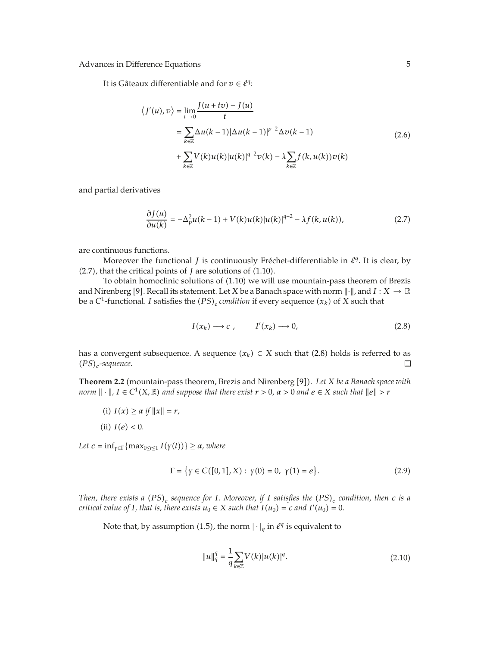It is Gâteaux differentiable and for  $v \in \ell^q$ :

$$
\langle J'(u), v \rangle = \lim_{t \to 0} \frac{J(u + tv) - J(u)}{t}
$$
  
= 
$$
\sum_{k \in \mathbb{Z}} \Delta u(k-1) |\Delta u(k-1)|^{p-2} \Delta v(k-1)
$$
  
+ 
$$
\sum_{k \in \mathbb{Z}} V(k) u(k) |u(k)|^{q-2} v(k) - \lambda \sum_{k \in \mathbb{Z}} f(k, u(k)) v(k)
$$
 (2.6)

and partial derivatives

$$
\frac{\partial J(u)}{\partial u(k)} = -\Delta_p^2 u(k-1) + V(k)u(k)|u(k)|^{q-2} - \lambda f(k, u(k)),\tag{2.7}
$$

are continuous functions.

Moreover the functional *J* is continuously Fréchet-differentiable in  $l^q$ . It is clear, by  $(2.7)$ , that the critical points of *J* are solutions of  $(1.10)$ .

To obtain homoclinic solutions of 1.10 we will use mountain-pass theorem of Brezis and Nirenberg [9]. Recall its statement. Let *X* be a Banach space with norm  $\|\cdot\|$ , and  $I: X \to \mathbb{R}$ be a  $C^1$ -functional. *I* satisfies the  $(PS)_c$  *condition* if every sequence  $(x_k)$  of *X* such that

$$
I(x_k) \longrightarrow c \, , \qquad I'(x_k) \longrightarrow 0, \tag{2.8}
$$

has a convergent subsequence. A sequence  $(x_k) \subset X$  such that (2.8) holds is referred to as  $(PS)_{\sim}$ -sequence. *PSc-sequence*.

**Theorem 2.2** (mountain-pass theorem, Brezis and Nirenberg [9]). Let *X be a Banach space with norm*  $\| \cdot \|$ ,  $I \in C^1(X, \mathbb{R})$  and suppose that there exist  $r > 0$ ,  $\alpha > 0$  and  $e \in X$  such that  $\|e\| > r$ 

- (i)  $I(x) \ge \alpha$  if  $||x|| = r$ ,
- (ii)  $I(e) < 0$ .

*Let*  $c = \inf_{\gamma \in \Gamma} \{ \max_{0 \le t \le 1} I(\gamma(t)) \} \ge \alpha$ *, where* 

$$
\Gamma = \{ \gamma \in C([0, 1], X) : \gamma(0) = 0, \gamma(1) = e \}.
$$
 (2.9)

*Then, there exists a*  $(PS)_c$  *sequence for I. Moreover, if I satisfies the*  $(PS)_c$  *condition, then c is a critical value of I*, that is, there exists  $u_0 \in X$  such that  $I(u_0) = c$  and  $I'(u_0) = 0$ .

Note that, by assumption (1.5), the norm  $|\cdot|_q$  in  $\ell^q$  is equivalent to

$$
||u||_q^q = \frac{1}{q} \sum_{k \in \mathbb{Z}} V(k) |u(k)|^q.
$$
 (2.10)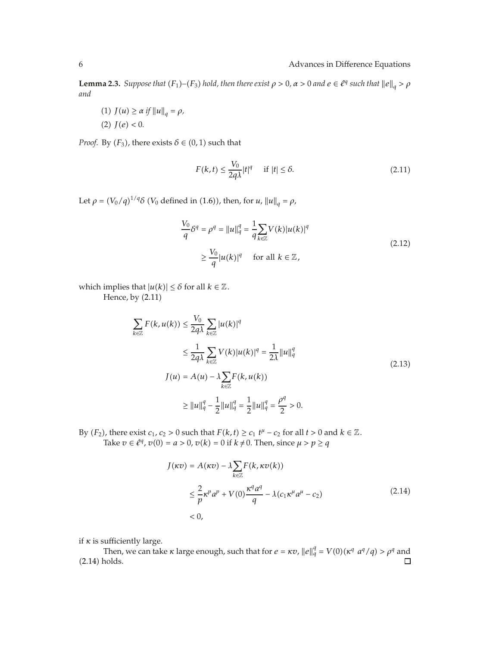**Lemma 2.3.** *Suppose that*  $(F_1) - (F_3)$  *hold, then there exist*  $\rho > 0$ ,  $\alpha > 0$  *and*  $e \in \ell^q$  *such that*  $||e||_q > \rho$ *and*

 $J(u) \ge \alpha \text{ if } \|u\|_q = \rho,$  $(2)$   $J(e) < 0$ .

*Proof.* By  $(F_3)$ , there exists  $\delta \in (0,1)$  such that

$$
F(k,t) \le \frac{V_0}{2q\lambda}|t|^q \quad \text{if } |t| \le \delta. \tag{2.11}
$$

Let  $\rho = (V_0/q)^{1/q} \delta$  (*V*<sub>0</sub> defined in (1.6)), then, for *u*,  $||u||_q = \rho$ ,

$$
\frac{V_0}{q}\delta^q = \rho^q = ||u||_q^q = \frac{1}{q}\sum_{k \in \mathbb{Z}} V(k)|u(k)|^q
$$
  
\n
$$
\geq \frac{V_0}{q} |u(k)|^q \quad \text{for all } k \in \mathbb{Z},
$$
\n(2.12)

which implies that  $|u(k)| \leq \delta$  for all  $k \in \mathbb{Z}$ .

Hence, by  $(2.11)$ 

$$
\sum_{k \in \mathbb{Z}} F(k, u(k)) \le \frac{V_0}{2q\lambda} \sum_{k \in \mathbb{Z}} |u(k)|^q
$$
  
\n
$$
\le \frac{1}{2q\lambda} \sum_{k \in \mathbb{Z}} V(k) |u(k)|^q = \frac{1}{2\lambda} ||u||_q^q
$$
  
\n
$$
J(u) = A(u) - \lambda \sum_{k \in \mathbb{Z}} F(k, u(k))
$$
  
\n
$$
\ge ||u||_q^q - \frac{1}{2} ||u||_q^q = \frac{1}{2} ||u||_q^q = \frac{\rho^q}{2} > 0.
$$
 (2.13)

By  $(F_2)$ , there exist  $c_1$ ,  $c_2 > 0$  such that  $F(k, t) \ge c_1 t^{\mu} - c_2$  for all  $t > 0$  and  $k \in \mathbb{Z}$ . Take  $v \in \ell^q$ ,  $v(0) = a > 0$ ,  $v(k) = 0$  if  $k \neq 0$ . Then, since  $\mu > p \ge q$ 

$$
J(\kappa v) = A(\kappa v) - \lambda \sum_{k \in \mathbb{Z}} F(k, \kappa v(k))
$$
  

$$
\leq \frac{2}{p} \kappa^p a^p + V(0) \frac{\kappa^q a^q}{q} - \lambda (c_1 \kappa^\mu a^\mu - c_2)
$$
  

$$
< 0,
$$
 (2.14)

if  $\kappa$  is sufficiently large.

Then, we can take *κ* large enough, such that for  $e = \kappa v$ ,  $||e||_q^q = V(0)(\kappa^q \ a^q/q) > \rho^q$  and  $(2.14)$  holds.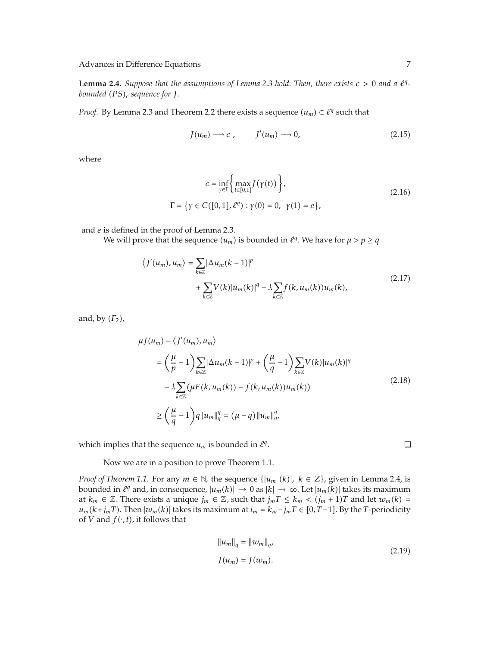**Lemma 2.4.** *Suppose that the assumptions of Lemma 2.3 hold. Then, there exists*  $c > 0$  *and a*  $l^q$ *bounded*  $(PS)$ <sub>c</sub> sequence for  $J$ *.* 

*Proof.* By Lemma 2.3 and Theorem 2.2 there exists a sequence  $(u_m) \subset \ell^q$  such that

$$
J(u_m) \longrightarrow c \, , \qquad J'(u_m) \longrightarrow 0, \tag{2.15}
$$

where

$$
c = \inf_{\gamma \in \Gamma} \left\{ \max_{t \in [0,1]} J(\gamma(t)) \right\},\
$$
  

$$
\Gamma = \left\{ \gamma \in C([0,1], \ell^q) : \gamma(0) = 0, \ \gamma(1) = e \right\},\
$$
 (2.16)

and *e* is defined in the proof of Lemma 2.3.

We will prove that the sequence  $(u_m)$  is bounded in  $\ell^q$ . We have for  $\mu > p \geq q$ 

$$
\langle J'(u_m), u_m \rangle = \sum_{k \in \mathbb{Z}} |\Delta u_m(k-1)|^p
$$
  
+ 
$$
\sum_{k \in \mathbb{Z}} V(k) |u_m(k)|^q - \lambda \sum_{k \in \mathbb{Z}} f(k, u_m(k)) u_m(k),
$$
 (2.17)

and, by *F*2,

$$
\mu J(u_m) - \langle J'(u_m), u_m \rangle
$$
  
\n
$$
= \left(\frac{\mu}{p} - 1\right) \sum_{k \in \mathbb{Z}} |\Delta u_m(k-1)|^p + \left(\frac{\mu}{q} - 1\right) \sum_{k \in \mathbb{Z}} V(k) |u_m(k)|^q
$$
  
\n
$$
- \lambda \sum_{k \in \mathbb{Z}} (\mu F(k, u_m(k)) - f(k, u_m(k)) u_m(k))
$$
  
\n
$$
\ge \left(\frac{\mu}{q} - 1\right) q \|u_m\|_q^q = (\mu - q) \|u_m\|_{q}^q,
$$
\n(2.18)

which implies that the sequence  $u_m$  is bounded in  $l^q$ .

Now we are in a position to prove Theorem 1.1.

*Proof of Theorem 1.1.* For any  $m \in \mathbb{N}$ , the sequence  $\{|u_m(k)|, k \in \mathbb{Z}\}$ , given in Lemma 2.4, is bounded in  $\ell^q$  and, in consequence,  $|u_m(k)|$  → 0 as  $|k|$  → ∞. Let  $|u_m(k)|$  takes its maximum at  $k_m \in \mathbb{Z}$ . There exists a unique  $j_m \in \mathbb{Z}$ , such that  $j_m T \leq k_m < (j_m + 1)T$  and let  $w_m(k) =$ *u<sub>m</sub>*(*k*+*j<sub>m</sub>T*). Then  $|w_m(k)|$  takes its maximum at *i<sub>m</sub>* = *k<sub>m</sub>*−*jmT* ∈ [0*,T*−1]. By the *T*-periodicity of *V* and  $f(\cdot, t)$ , it follows that

$$
||u_m||_q = ||w_m||_q,
$$
  
\n
$$
J(u_m) = J(w_m).
$$
\n(2.19)

 $\Box$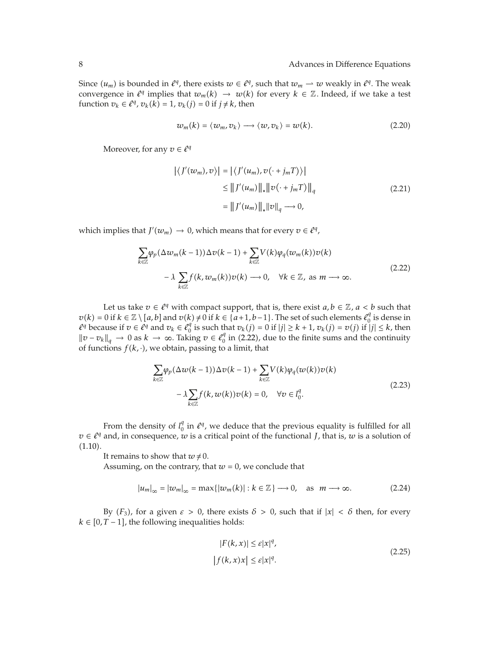Since  $(u_m)$  is bounded in  $\ell^q$ , there exists  $w \in \ell^q$ , such that  $w_m \to w$  weakly in  $\ell^q$ . The weak convergence in  $\ell^q$  implies that  $w_m(k) \to w(k)$  for every  $k \in \mathbb{Z}$ . Indeed, if we take a test function  $v_k \in \ell^q$ ,  $v_k(k) = 1$ ,  $v_k(j) = 0$  if  $j \neq k$ , then

$$
w_m(k) = \langle w_m, v_k \rangle \longrightarrow \langle w, v_k \rangle = w(k). \tag{2.20}
$$

Moreover, for any  $v \in \ell^q$ 

$$
\left| \langle J'(w_m), v \rangle \right| = \left| \langle J'(u_m), v(\cdot + j_m T) \rangle \right|
$$
  
\n
$$
\leq \| J'(u_m) \|_* \| v(\cdot + j_m T) \|_q
$$
  
\n
$$
= \| J'(u_m) \|_* \| v \|_q \longrightarrow 0,
$$
\n(2.21)

which implies that *J'*( $w_m$ )  $\rightarrow$  0, which means that for every  $v \in \ell^q$ ,

$$
\sum_{k \in \mathbb{Z}} \varphi_p(\Delta w_m(k-1)) \Delta v(k-1) + \sum_{k \in \mathbb{Z}} V(k) \varphi_q(w_m(k)) v(k)
$$
  

$$
- \lambda \sum_{k \in \mathbb{Z}} f(k, w_m(k)) v(k) \longrightarrow 0, \quad \forall k \in \mathbb{Z}, \text{ as } m \longrightarrow \infty.
$$
 (2.22)

Let us take  $v \in \ell^q$  with compact support, that is, there exist  $a, b \in \mathbb{Z}$ ,  $a < b$  such that  $v(k) = 0$  if  $k \in \mathbb{Z} \setminus [a, b]$  and  $v(k) \neq 0$  if  $k \in \{a+1, b-1\}$ . The set of such elements  $l_0^q$  is dense in  $l^q$  because if  $v \in l^q$  and  $v_k \in l^q$  is such that  $v_k(j) = 0$  if  $|j| \geq k+1$ ,  $v_k(j) = v(j)$  if  $|j| \leq k$ , then  $\|v - v_k\|_q$  → 0 as  $k \to \infty$ . Taking  $v \in \ell_0^q$  in (2.22), due to the finite sums and the continuity of functions  $f(k, \cdot)$ , we obtain, passing to a limit, that

$$
\sum_{k \in \mathbb{Z}} \varphi_p(\Delta w(k-1)) \Delta v(k-1) + \sum_{k \in \mathbb{Z}} V(k) \varphi_q(w(k)) v(k)
$$
  

$$
- \lambda \sum_{k \in \mathbb{Z}} f(k, w(k)) v(k) = 0, \quad \forall v \in l_0^q.
$$
 (2.23)

From the density of  $l_0^q$  in  $\ell^q$ , we deduce that the previous equality is fulfilled for all  $v \in \ell^q$  and, in consequence, *w* is a critical point of the functional *J*, that is, *w* is a solution of  $(1.10).$ 

It remains to show that  $w \neq 0$ .

Assuming, on the contrary, that  $w = 0$ , we conclude that

$$
|u_m|_{\infty} = |w_m|_{\infty} = \max\{|w_m(k)| : k \in \mathbb{Z}\} \longrightarrow 0, \quad \text{as} \quad m \longrightarrow \infty. \tag{2.24}
$$

By *F*3, for a given *ε >* 0, there exists *δ >* 0, such that if |*x*| *< δ* then, for every  $k \in [0, T - 1]$ , the following inequalities holds:

$$
|F(k, x)| \le \varepsilon |x|^q,
$$
  
\n
$$
|f(k, x)x| \le \varepsilon |x|^q.
$$
\n(2.25)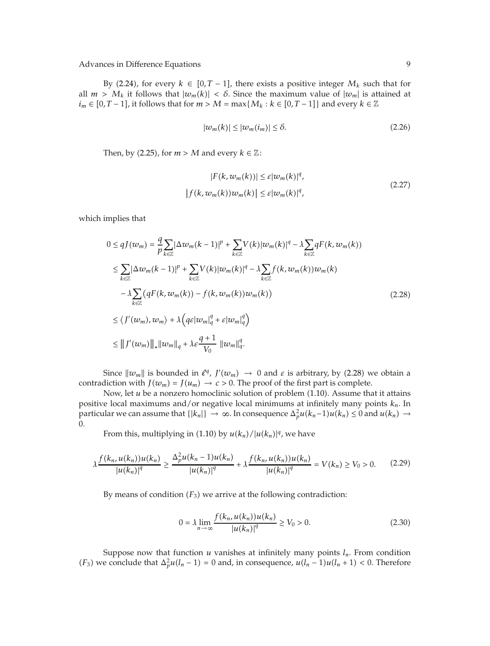By (2.24), for every  $k \in [0, T - 1]$ , there exists a positive integer  $M_k$  such that for all  $m > M_k$  it follows that  $|w_m(k)| < \delta$ . Since the maximum value of  $|w_m|$  is attained at *i*<sub>m</sub> ∈ [0, *T* − 1], it follows that for *m* > *M* = max{*M<sub>k</sub>* : *k* ∈ [0, *T* − 1]} and every *k* ∈ ℤ

$$
|w_m(k)| \le |w_m(i_m)| \le \delta. \tag{2.26}
$$

Then, by  $(2.25)$ , for  $m > M$  and every  $k \in \mathbb{Z}$ :

$$
|F(k, w_m(k))| \le \varepsilon |w_m(k)|^q,
$$
  

$$
|f(k, w_m(k))w_m(k)| \le \varepsilon |w_m(k)|^q,
$$
 (2.27)

which implies that

$$
0 \leq qJ(w_m) = \frac{q}{p} \sum_{k \in \mathbb{Z}} |\Delta w_m(k-1)|^p + \sum_{k \in \mathbb{Z}} V(k) |w_m(k)|^q - \lambda \sum_{k \in \mathbb{Z}} qF(k, w_m(k))
$$
  
\n
$$
\leq \sum_{k \in \mathbb{Z}} |\Delta w_m(k-1)|^p + \sum_{k \in \mathbb{Z}} V(k) |w_m(k)|^q - \lambda \sum_{k \in \mathbb{Z}} f(k, w_m(k)) w_m(k)
$$
  
\n
$$
-\lambda \sum_{k \in \mathbb{Z}} (qF(k, w_m(k)) - f(k, w_m(k)) w_m(k))
$$
  
\n
$$
\leq \langle J'(w_m), w_m \rangle + \lambda \Big( q\varepsilon |w_m|_q^q + \varepsilon |w_m|_q^q \Big)
$$
  
\n
$$
\leq ||J'(w_m)||_* ||w_m||_q + \lambda \varepsilon \frac{q+1}{V_0} ||w_m||_q^q.
$$
 (2.28)

Since  $\|w_m\|$  is bounded in  $\ell^q$ ,  $J'(w_m) \to 0$  and  $\varepsilon$  is arbitrary, by (2.28) we obtain a contradiction with *J*( $w_m$ ) = *J*( $u_m$ )  $\rightarrow$  *c* > 0. The proof of the first part is complete.

Now, let *u* be a nonzero homoclinic solution of problem (1.10). Assume that it attains positive local maximums and/or negative local minimums at infinitely many points *kn*. In particular we can assume that  $\{|k_n|\} \to \infty$ . In consequence  $\Delta_p^2 u(k_n-1)u(k_n) \leq 0$  and  $u(k_n) \to$ 0.

From this, multiplying in (1.10) by  $u(k_n)/|u(k_n)|^q$ , we have

$$
\lambda \frac{f(k_n, u(k_n))u(k_n)}{|u(k_n)|^q} \ge \frac{\Delta_p^2 u(k_n - 1)u(k_n)}{|u(k_n)|^q} + \lambda \frac{f(k_n, u(k_n))u(k_n)}{|u(k_n)|^q} = V(k_n) \ge V_0 > 0. \tag{2.29}
$$

By means of condition  $(F_3)$  we arrive at the following contradiction:

$$
0 = \lambda \lim_{n \to \infty} \frac{f(k_n, u(k_n))u(k_n)}{|u(k_n)|^q} \ge V_0 > 0.
$$
 (2.30)

Suppose now that function  $u$  vanishes at infinitely many points  $l_n$ . From condition *(F<sub>3</sub>)* we conclude that  $\Delta_p^2 u(l_n - 1) = 0$  and, in consequence,  $u(l_n - 1)u(l_n + 1) < 0$ . Therefore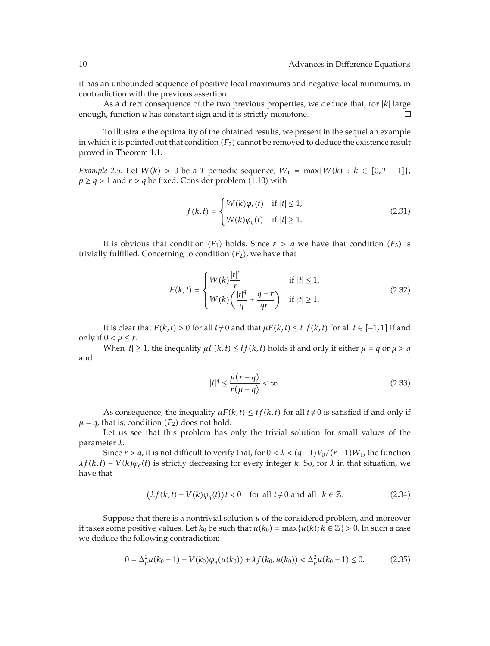it has an unbounded sequence of positive local maximums and negative local minimums, in contradiction with the previous assertion.

As a direct consequence of the two previous properties, we deduce that, for  $|k|$  large the function  $u$  has constant sign and it is strictly monotone. enough, function *u* has constant sign and it is strictly monotone.

To illustrate the optimality of the obtained results, we present in the sequel an example in which it is pointed out that condition  $(F_2)$  cannot be removed to deduce the existence result proved in Theorem 1.1.

*Example* 2.5. Let  $W(k) > 0$  be a *T*-periodic sequence,  $W_1 = \max\{W(k) : k \in [0, T - 1]\}$ ,  $p \geq q > 1$  and  $r > q$  be fixed. Consider problem (1.10) with

$$
f(k,t) = \begin{cases} W(k)\varphi_r(t) & \text{if } |t| \le 1, \\ W(k)\varphi_q(t) & \text{if } |t| \ge 1. \end{cases}
$$
 (2.31)

It is obvious that condition  $(F_1)$  holds. Since  $r > q$  we have that condition  $(F_3)$  is trivially fulfilled. Concerning to condition  $(F_2)$ , we have that

$$
F(k,t) = \begin{cases} W(k) \frac{|t|^r}{r} & \text{if } |t| \le 1, \\ W(k) \left( \frac{|t|^q}{q} + \frac{q-r}{qr} \right) & \text{if } |t| \ge 1. \end{cases} \tag{2.32}
$$

It is clear that  $F(k, t) > 0$  for all  $t \neq 0$  and that  $\mu F(k, t) \leq t \ f(k, t)$  for all  $t \in [-1, 1]$  if and only if  $0 < \mu \leq r$ .

When  $|t| \geq 1$ , the inequality  $\mu F(k, t) \leq tf(k, t)$  holds if and only if either  $\mu = q$  or  $\mu > q$ and

$$
|t|^q \le \frac{\mu(r-q)}{r(\mu-q)} < \infty. \tag{2.33}
$$

As consequence, the inequality  $\mu F(k, t) \leq tf(k, t)$  for all  $t \neq 0$  is satisfied if and only if  $\mu = q$ , that is, condition  $(F_2)$  does not hold.

Let us see that this problem has only the trivial solution for small values of the parameter *λ*.

Since  $r > q$ , it is not difficult to verify that, for  $0 < \lambda < (q-1)V_0/(r-1)W_1$ , the function  $\lambda f(k,t) - V(k)\varphi_a(t)$  is strictly decreasing for every integer *k*. So, for  $\lambda$  in that situation, we have that

$$
(\lambda f(k, t) - V(k)\varphi_q(t))t < 0 \quad \text{for all } t \neq 0 \text{ and all } k \in \mathbb{Z}.
$$
 (2.34)

Suppose that there is a nontrivial solution *u* of the considered problem, and moreover it takes some positive values. Let  $k_0$  be such that  $u(k_0) = \max\{u(k); k \in \mathbb{Z}\}\geq 0$ . In such a case we deduce the following contradiction:

$$
0 = \Delta_p^2 u(k_0 - 1) - V(k_0) \varphi_q(u(k_0)) + \lambda f(k_0, u(k_0)) < \Delta_p^2 u(k_0 - 1) \le 0. \tag{2.35}
$$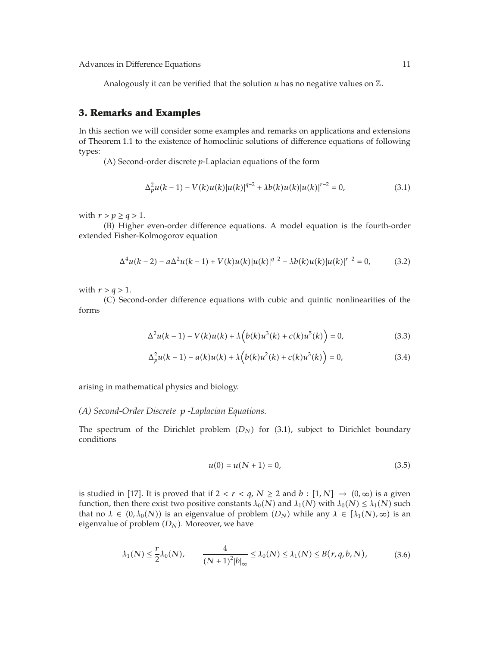Analogously it can be verified that the solution  $u$  has no negative values on  $\mathbb{Z}$ .

## **3. Remarks and Examples**

In this section we will consider some examples and remarks on applications and extensions of Theorem 1.1 to the existence of homoclinic solutions of difference equations of following types:

A Second-order discrete *p*-Laplacian equations of the form

$$
\Delta_p^2 u(k-1) - V(k)u(k)|u(k)|^{q-2} + \lambda b(k)u(k)|u(k)|^{r-2} = 0,
$$
\n(3.1)

with  $r > p \ge q > 1$ .

B Higher even-order difference equations. A model equation is the fourth-order extended Fisher-Kolmogorov equation

$$
\Delta^4 u(k-2) - a \Delta^2 u(k-1) + V(k)u(k)|u(k)|^{q-2} - \lambda b(k)u(k)|u(k)|^{r-2} = 0,
$$
 (3.2)

with  $r > q > 1$ .

C Second-order difference equations with cubic and quintic nonlinearities of the forms

$$
\Delta^{2}u(k-1) - V(k)u(k) + \lambda \Big(b(k)u^{3}(k) + c(k)u^{5}(k)\Big) = 0,
$$
\n(3.3)

$$
\Delta_p^2 u(k-1) - a(k)u(k) + \lambda \Big(b(k)u^2(k) + c(k)u^3(k)\Big) = 0,
$$
\n(3.4)

arising in mathematical physics and biology.

#### *(A) Second-Order Discrete p -Laplacian Equations.*

The spectrum of the Dirichlet problem  $(D_N)$  for  $(3.1)$ , subject to Dirichlet boundary conditions

$$
u(0) = u(N + 1) = 0,\t(3.5)
$$

is studied in [17]. It is proved that if  $2 < r < q$ ,  $N \ge 2$  and  $b : [1, N] \rightarrow (0, \infty)$  is a given function, then there exist two positive constants  $\lambda_0(N)$  and  $\lambda_1(N)$  with  $\lambda_0(N) \leq \lambda_1(N)$  such that no  $\lambda \in (0, \lambda_0(N))$  is an eigenvalue of problem  $(D_N)$  while any  $\lambda \in [\lambda_1(N), \infty)$  is an eigenvalue of problem *DN*. Moreover, we have

$$
\lambda_1(N) \le \frac{r}{2} \lambda_0(N), \qquad \frac{4}{(N+1)^2 |b|_{\infty}} \le \lambda_0(N) \le \lambda_1(N) \le B(r, q, b, N), \tag{3.6}
$$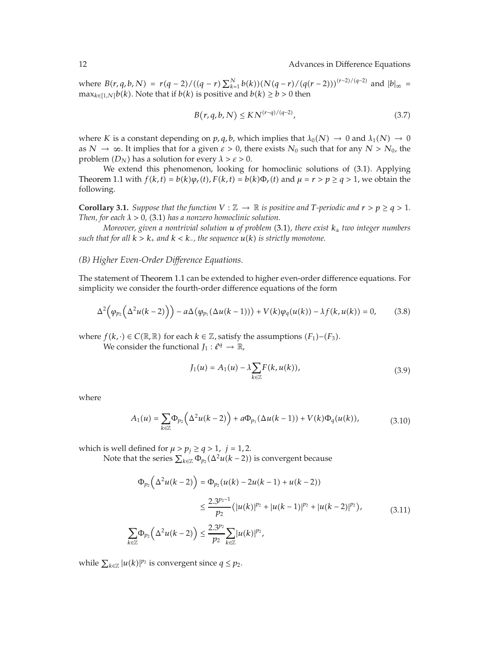*where*  $B(r, q, b, N) = r(q - 2) / ((q - r) \sum_{k=1}^{N} b(k)) (N(q - r) / (q(r - 2)))^{(r-2)/(q-2)}$  and  $|b|_{\infty} =$  $\max_{k \in [1,N]} b(k)$ . Note that if  $b(k)$  is positive and  $b(k) \ge b > 0$  then

$$
B(r, q, b, N) \leq KN^{(r-q)/(q-2)},
$$
\n(3.7)

where *K* is a constant depending on *p*, *q*, *b*, which implies that  $\lambda_0(N) \to 0$  and  $\lambda_1(N) \to 0$ as  $N \to \infty$ . It implies that for a given  $\varepsilon > 0$ , there exists  $N_0$  such that for any  $N > N_0$ , the problem  $(D_N)$  has a solution for every  $\lambda > \varepsilon > 0$ .

We extend this phenomenon, looking for homoclinic solutions of (3.1). Applying Theorem 1.1 with  $f(k, t) = b(k)\varphi_r(t)$ ,  $F(k, t) = b(k)\Phi_r(t)$  and  $\mu = r > p \ge q > 1$ , we obtain the following.

**Corollary 3.1.** *Suppose that the function*  $V : \mathbb{Z} \to \mathbb{R}$  *is positive and*  $T$ *-periodic and*  $r > p \geq q > 1$ *. Then, for each*  $\lambda > 0$ , (3.1) *has a nonzero homoclinic solution.* 

*Moreover, given a nontrivial solution u of problem* 3.1*, there exist k*<sup>±</sup> *two integer numbers such that for all*  $k > k_+$  *and*  $k < k_-$ *, the sequence*  $u(k)$  *is strictly monotone.* 

## *(B) Higher Even-Order Difference Equations.*

The statement of Theorem 1.1 can be extended to higher even-order difference equations. For simplicity we consider the fourth-order difference equations of the form

$$
\Delta^2\big(\varphi_{p_2}\big(\Delta^2 u(k-2)\big)\big)-a\Delta\big(\varphi_{p_1}(\Delta u(k-1))\big)+V(k)\varphi_q(u(k))-\lambda f(k,u(k))=0,\qquad(3.8)
$$

where *f*( $k$ ,  $\cdot$ ) ∈ *C*( $\mathbb{R}, \mathbb{R}$ ) for each  $k \in \mathbb{Z}$ , satisfy the assumptions ( $F_1$ )–( $F_3$ ).

We consider the functional  $J_1: \ell^q \to \mathbb{R}$ ,

$$
J_1(u) = A_1(u) - \lambda \sum_{k \in \mathbb{Z}} F(k, u(k)),
$$
\n(3.9)

where

$$
A_1(u) = \sum_{k \in \mathbb{Z}} \Phi_{p_2}\left(\Delta^2 u(k-2)\right) + a \Phi_{p_1}(\Delta u(k-1)) + V(k) \Phi_q(u(k)), \tag{3.10}
$$

which is well defined for  $\mu > p_j \ge q > 1$ ,  $j = 1, 2$ .

Note that the series  $\sum_{k \in \mathbb{Z}} \Phi_{p_2}(\Delta^2 u(k-2))$  is convergent because

$$
\Phi_{p_2}(\Delta^2 u(k-2)) = \Phi_{p_2}(u(k) - 2u(k-1) + u(k-2))
$$
  

$$
\leq \frac{2.3^{p_2-1}}{p_2} (|u(k)|^{p_2} + |u(k-1)|^{p_2} + |u(k-2)|^{p_2}),
$$
  

$$
\sum_{k \in \mathbb{Z}} \Phi_{p_2}(\Delta^2 u(k-2)) \leq \frac{2.3^{p_2}}{p_2} \sum_{k \in \mathbb{Z}} |u(k)|^{p_2},
$$
\n(3.11)

while  $\sum_{k \in \mathbb{Z}} |u(k)|^{p_2}$  is convergent since  $q \leq p_2$ .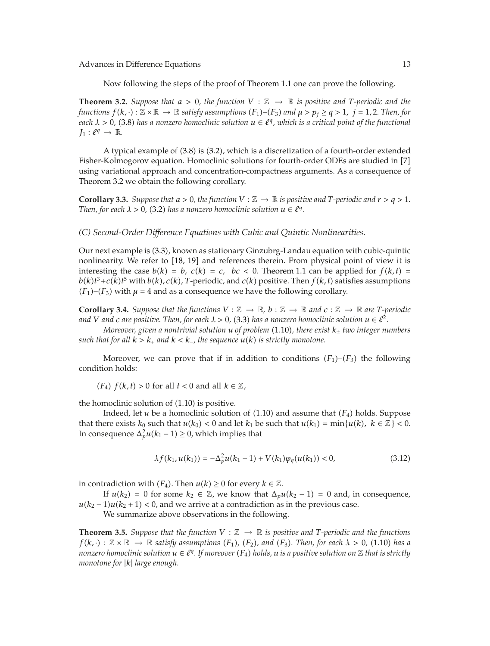Now following the steps of the proof of Theorem 1.1 one can prove the following.

**Theorem 3.2.** *Suppose that*  $a > 0$ , the function  $V : \mathbb{Z} \to \mathbb{R}$  is positive and T-periodic and the  $f$ unctions  $f(k, \cdot): \mathbb{Z} \times \mathbb{R} \to \mathbb{R}$  satisfy assumptions  $(F_1)$ – $(F_3)$  and  $\mu > p_j \ge q > 1$ ,  $j = 1, 2$ . Then, for *each*  $\lambda > 0$ , (3.8) has a nonzero homoclinic solution  $u \in \ell^q$ , which is a critical point of the functional  $J_1: \ell^q \to \mathbb{R}.$ 

A typical example of 3.8 is 3.2, which is a discretization of a fourth-order extended Fisher-Kolmogorov equation. Homoclinic solutions for fourth-order ODEs are studied in [7] using variational approach and concentration-compactness arguments. As a consequence of Theorem 3.2 we obtain the following corollary.

**Corollary 3.3.** *Suppose that*  $a > 0$ *, the function*  $V : \mathbb{Z} \to \mathbb{R}$  *is positive and*  $T$ *-periodic and*  $r > q > 1$ *. Then, for each*  $\lambda > 0$ , (3.2) *has a nonzero homoclinic solution*  $u \in \ell^q$ .

## *(C) Second-Order Difference Equations with Cubic and Quintic Nonlinearities.*

Our next example is (3.3), known as stationary Ginzubrg-Landau equation with cubic-quintic nonlinearity. We refer to [18, 19] and references therein. From physical point of view it is interesting the case  $b(k) = b$ ,  $c(k) = c$ ,  $bc < 0$ . Theorem 1.1 can be applied for  $f(k, t) =$  $b(k)t^3+c(k)t^5$  with  $b(k)$ ,  $c(k)$ ,  $T$ -periodic, and  $c(k)$  positive. Then  $f(k,t)$  satisfies assumptions  $(F_1)$ – $(F_3)$  with  $\mu = 4$  and as a consequence we have the following corollary.

**Corollary 3.4.** Suppose that the functions  $V : \mathbb{Z} \to \mathbb{R}$ ,  $b : \mathbb{Z} \to \mathbb{R}$  and  $c : \mathbb{Z} \to \mathbb{R}$  are T-periodic *and V and c are positive. Then, for each*  $\lambda > 0$ , (3.3) *has a nonzero homoclinic solution*  $u \in \ell^2$ .

*Moreover, given a nontrivial solution u of problem* 1.10*, there exist k*<sup>±</sup> *two integer numbers such that for all*  $k > k_+$  *and*  $k < k_-$ *, the sequence*  $u(k)$  *is strictly monotone.* 

Moreover, we can prove that if in addition to conditions  $(F_1)$ – $(F_3)$  the following condition holds:

 $(F_4)$   $f(k, t) > 0$  for all  $t < 0$  and all  $k \in \mathbb{Z}$ ,

the homoclinic solution of  $(1.10)$  is positive.

Indeed, let *u* be a homoclinic solution of  $(1.10)$  and assume that  $(F_4)$  holds. Suppose that there exists  $k_0$  such that  $u(k_0) < 0$  and let  $k_1$  be such that  $u(k_1) = \min\{u(k), k \in \mathbb{Z}\} < 0$ . In consequence  $\Delta_p^2 u(k_1 - 1) \ge 0$ , which implies that

$$
\lambda f(k_1, u(k_1)) = -\Delta_p^2 u(k_1 - 1) + V(k_1)\varphi_q(u(k_1)) < 0,\tag{3.12}
$$

in contradiction with  $(F_4)$ . Then  $u(k) \geq 0$  for every  $k \in \mathbb{Z}$ .

If  $u(k_2) = 0$  for some  $k_2 \in \mathbb{Z}$ , we know that  $\Delta_p u(k_2 - 1) = 0$  and, in consequence,  $u(k_2 - 1)u(k_2 + 1) < 0$ , and we arrive at a contradiction as in the previous case.

We summarize above observations in the following.

**Theorem 3.5.** *Suppose that the function*  $V : \mathbb{Z} \to \mathbb{R}$  *is positive and T-periodic and the functions*  $f(k, \cdot): \mathbb{Z} \times \mathbb{R} \to \mathbb{R}$  satisfy assumptions  $(F_1)$ ,  $(F_2)$ , and  $(F_3)$ . Then, for each  $\lambda > 0$ , (1.10) has a *nonzero homoclinic solution*  $u \in \ell^q$ . If moreover  $(F_4)$  holds,  $u$  is a positive solution on  $\mathbb Z$  that is strictly *monotone for* |*k*| *large enough.*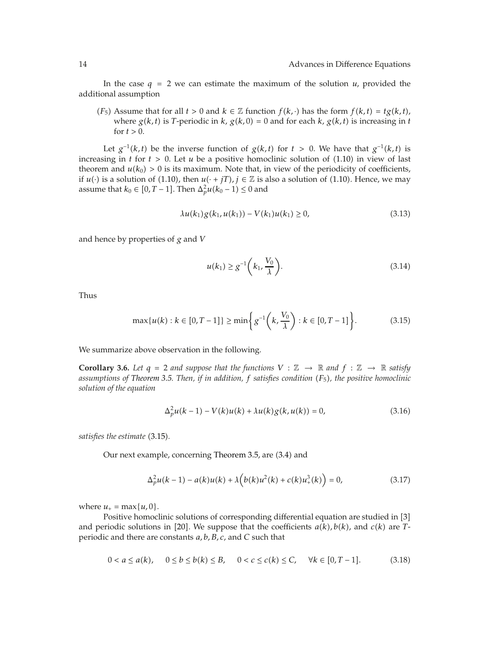In the case  $q = 2$  we can estimate the maximum of the solution  $u$ , provided the additional assumption

*(F<sub>5</sub>)* Assume that for all  $t > 0$  and  $k \in \mathbb{Z}$  function  $f(k, \cdot)$  has the form  $f(k, t) = tg(k, t)$ , where  $g(k, t)$  is *T*-periodic in  $k$ ,  $g(k, 0) = 0$  and for each  $k$ ,  $g(k, t)$  is increasing in  $t$ for  $t > 0$ .

Let  $g^{-1}(k,t)$  be the inverse function of  $g(k,t)$  for  $t > 0$ . We have that  $g^{-1}(k,t)$  is increasing in  $t$  for  $t > 0$ . Let  $u$  be a positive homoclinic solution of (1.10) in view of last theorem and  $u(k_0) > 0$  is its maximum. Note that, in view of the periodicity of coefficients, if *u*(·) is a solution of (1.10), then  $u(\cdot + jT)$ ,  $j \in \mathbb{Z}$  is also a solution of (1.10). Hence, we may assume that  $k_0 \in [0, T-1]$ . Then  $\Delta_p^2 u(k_0 - 1) \leq 0$  and

$$
\lambda u(k_1)g(k_1, u(k_1)) - V(k_1)u(k_1) \ge 0,
$$
\n(3.13)

and hence by properties of *g* and *V*

$$
u(k_1) \ge g^{-1}\left(k_1, \frac{V_0}{\lambda}\right).
$$
 (3.14)

Thus

$$
\max\{u(k):k\in[0,T-1]\}\geq\min\bigg\{g^{-1}\bigg(k,\frac{V_0}{\lambda}\bigg):k\in[0,T-1]\bigg\}.\tag{3.15}
$$

We summarize above observation in the following.

**Corollary 3.6.** Let  $q = 2$  and suppose that the functions  $V : \mathbb{Z} \to \mathbb{R}$  and  $f : \mathbb{Z} \to \mathbb{R}$  satisfy *assumptions of Theorem 3.5. Then, if in addition, f satisfies condition F*5*, the positive homoclinic solution of the equation*

$$
\Delta_p^2 u(k-1) - V(k)u(k) + \lambda u(k)g(k, u(k)) = 0,
$$
\n(3.16)

*satisfies the estimate*  $(3.15)$ *.* 

Our next example, concerning Theorem 3.5, are (3.4) and

$$
\Delta_p^2 u(k-1) - a(k)u(k) + \lambda \Big(b(k)u^2(k) + c(k)u^3_+(k)\Big) = 0,
$$
\n(3.17)

where  $u_+ = \max\{u, 0\}$ .

Positive homoclinic solutions of corresponding differential equation are studied in [3] and periodic solutions in [20]. We suppose that the coefficients  $a(k)$ ,  $b(k)$ , and  $c(k)$  are *T*periodic and there are constants *a, b, B, c*, and *C* such that

$$
0 < a \le a(k), \quad 0 \le b \le b(k) \le B, \quad 0 < c \le c(k) \le C, \quad \forall k \in [0, T - 1]. \tag{3.18}
$$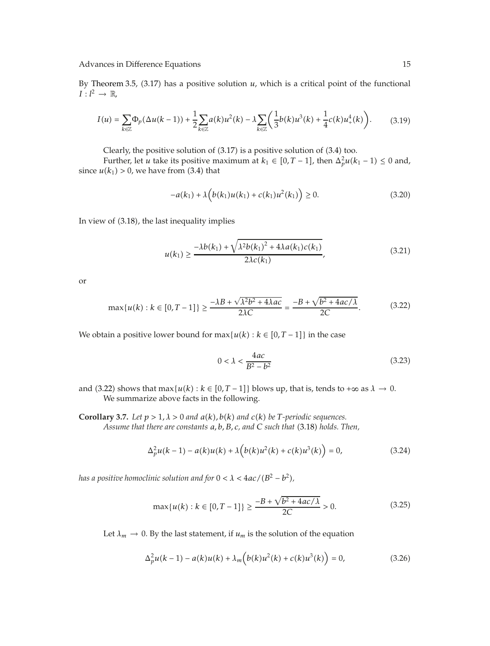By Theorem 3.5,  $(3.17)$  has a positive solution  $u$ , which is a critical point of the functional  $I: l^2 \to \mathbb{R},$ 

$$
I(u) = \sum_{k \in \mathbb{Z}} \Phi_p(\Delta u(k-1)) + \frac{1}{2} \sum_{k \in \mathbb{Z}} a(k) u^2(k) - \lambda \sum_{k \in \mathbb{Z}} \left( \frac{1}{3} b(k) u^3(k) + \frac{1}{4} c(k) u^4_+(k) \right).
$$
 (3.19)

Clearly, the positive solution of  $(3.17)$  is a positive solution of  $(3.4)$  too.

Further, let *u* take its positive maximum at  $k_1 \in [0, T-1]$ , then  $\Delta_p^2 u(k_1 - 1) \le 0$  and, since  $u(k_1) > 0$ , we have from (3.4) that

$$
-a(k_1) + \lambda \left( b(k_1)u(k_1) + c(k_1)u^2(k_1) \right) \ge 0. \tag{3.20}
$$

In view of  $(3.18)$ , the last inequality implies

$$
u(k_1) \ge \frac{-\lambda b(k_1) + \sqrt{\lambda^2 b(k_1)^2 + 4\lambda a(k_1)c(k_1)}}{2\lambda c(k_1)},
$$
\n(3.21)

or

$$
\max\{u(k):k\in[0,T-1]\}\geq \frac{-\lambda B + \sqrt{\lambda^2 b^2 + 4\lambda ac}}{2\lambda C} = \frac{-B + \sqrt{b^2 + 4ac/\lambda}}{2C}.
$$
 (3.22)

We obtain a positive lower bound for  $\max\{u(k): k \in [0, T-1]\}$  in the case

$$
0 < \lambda < \frac{4ac}{B^2 - b^2} \tag{3.23}
$$

- and (3.22) shows that  $\max\{u(k): k \in [0, T-1]\}$  blows up, that is, tends to + $\infty$  as  $\lambda \to 0$ . We summarize above facts in the following.
- **Corollary 3.7.** *Let*  $p > 1, \lambda > 0$  *and*  $a(k)$ ,  $b(k)$  *and*  $c(k)$  *be T*-periodic sequences. *Assume that there are constants a, b, B, c, and C such that* 3.18 *holds. Then,*

$$
\Delta_p^2 u(k-1) - a(k)u(k) + \lambda \Big(b(k)u^2(k) + c(k)u^3(k)\Big) = 0,
$$
\n(3.24)

*has a positive homoclinic solution and for*  $0 < \lambda < 4ac/(B^2 - b^2)$ ,

$$
\max\{u(k):k\in[0,T-1]\}\geq \frac{-B+\sqrt{b^2+4ac/\lambda}}{2C}>0.
$$
 (3.25)

Let  $\lambda_m \to 0$ . By the last statement, if  $u_m$  is the solution of the equation

$$
\Delta_p^2 u(k-1) - a(k)u(k) + \lambda_m \Big(b(k)u^2(k) + c(k)u^3(k)\Big) = 0,
$$
\n(3.26)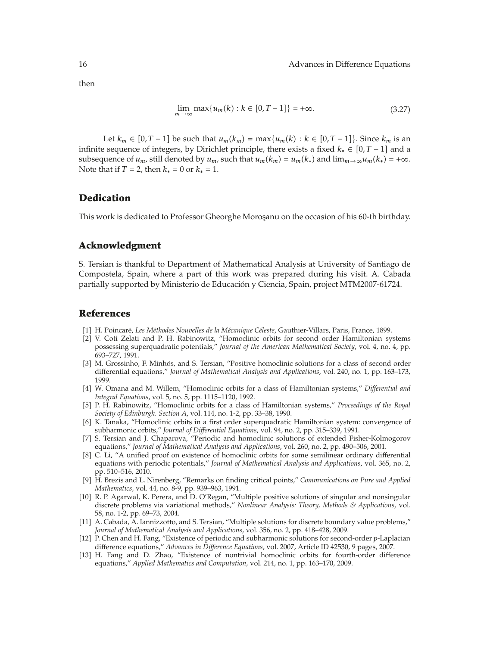then

$$
\lim_{m \to \infty} \max\{u_m(k) : k \in [0, T - 1]\} = +\infty.
$$
\n(3.27)

Let  $k_m \in [0, T - 1]$  be such that  $u_m(k_m) = \max\{u_m(k) : k \in [0, T - 1]\}$ . Since  $k_m$  is an infinite sequence of integers, by Dirichlet principle, there exists a fixed  $k_* \in [0, T - 1]$  and a subsequence of  $u_m$ , still denoted by  $u_m$ , such that  $u_m(k_m) = u_m(k_*)$  and  $\lim_{m \to \infty} u_m(k_*) = +\infty$ . Note that if *T* = 2, then  $k_* = 0$  or  $k_* = 1$ .

## **Dedication**

This work is dedicated to Professor Gheorghe Moroşanu on the occasion of his 60-th birthday.

## **Acknowledgment**

S. Tersian is thankful to Department of Mathematical Analysis at University of Santiago de Compostela, Spain, where a part of this work was prepared during his visit. A. Cabada partially supported by Ministerio de Educacion y Ciencia, Spain, project MTM2007-61724. ´

## **References**

- 1 H. Poincare,´ *Les Methodes Nouvelles de la M ´ ecanique C ´ eleste ´* , Gauthier-Villars, Paris, France, 1899.
- 2 V. Coti Zelati and P. H. Rabinowitz, "Homoclinic orbits for second order Hamiltonian systems possessing superquadratic potentials," *Journal of the American Mathematical Society*, vol. 4, no. 4, pp. 693–727, 1991.
- [3] M. Grossinho, F. Minhós, and S. Tersian, "Positive homoclinic solutions for a class of second order differential equations," *Journal of Mathematical Analysis and Applications*, vol. 240, no. 1, pp. 163–173, 1999.
- 4 W. Omana and M. Willem, "Homoclinic orbits for a class of Hamiltonian systems," *Differential and Integral Equations*, vol. 5, no. 5, pp. 1115–1120, 1992.
- 5 P. H. Rabinowitz, "Homoclinic orbits for a class of Hamiltonian systems," *Proceedings of the Royal Society of Edinburgh. Section A*, vol. 114, no. 1-2, pp. 33–38, 1990.
- [6] K. Tanaka, "Homoclinic orbits in a first order superquadratic Hamiltonian system: convergence of subharmonic orbits," *Journal of Differential Equations*, vol. 94, no. 2, pp. 315–339, 1991.
- 7 S. Tersian and J. Chaparova, "Periodic and homoclinic solutions of extended Fisher-Kolmogorov equations," *Journal of Mathematical Analysis and Applications*, vol. 260, no. 2, pp. 490–506, 2001.
- 8 C. Li, "A unified proof on existence of homoclinic orbits for some semilinear ordinary differential equations with periodic potentials," *Journal of Mathematical Analysis and Applications*, vol. 365, no. 2, pp. 510–516, 2010.
- 9 H. Brezis and L. Nirenberg, "Remarks on finding critical points," *Communications on Pure and Applied Mathematics*, vol. 44, no. 8-9, pp. 939–963, 1991.
- 10 R. P. Agarwal, K. Perera, and D. O'Regan, "Multiple positive solutions of singular and nonsingular discrete problems via variational methods," *Nonlinear Analysis: Theory, Methods & Applications*, vol. 58, no. 1-2, pp. 69–73, 2004.
- [11] A. Cabada, A. Iannizzotto, and S. Tersian, "Multiple solutions for discrete boundary value problems," *Journal of Mathematical Analysis and Applications*, vol. 356, no. 2, pp. 418–428, 2009.
- 12 P. Chen and H. Fang, "Existence of periodic and subharmonic solutions for second-order *p*-Laplacian difference equations," *Advances in Difference Equations*, vol. 2007, Article ID 42530, 9 pages, 2007.
- 13 H. Fang and D. Zhao, "Existence of nontrivial homoclinic orbits for fourth-order difference equations," *Applied Mathematics and Computation*, vol. 214, no. 1, pp. 163–170, 2009.